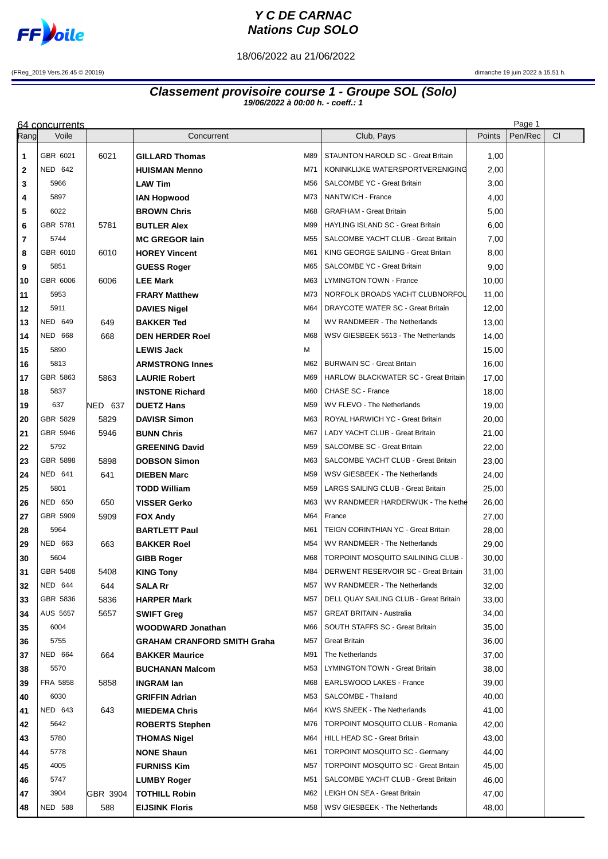

## **Y C DE CARNAC Nations Cup SOLO**

18/06/2022 au 21/06/2022

(FReg\_2019 Vers.26.45 © 20019) dimanche 19 juin 2022 à 15.51 h.

## **Classement provisoire course 1 - Groupe SOL (Solo) 19/06/2022 à 00:00 h. - coeff.: 1**

|                | 64 concurrents  |          |                                    |                 |                                             |        | Page 1  |           |
|----------------|-----------------|----------|------------------------------------|-----------------|---------------------------------------------|--------|---------|-----------|
| Rang           | Voile           |          | Concurrent                         |                 | Club, Pays                                  | Points | Pen/Rec | <b>CI</b> |
| 1              | GBR 6021        | 6021     | <b>GILLARD Thomas</b>              | M89             | STAUNTON HAROLD SC - Great Britain          | 1,00   |         |           |
| $\mathbf{2}$   | <b>NED 642</b>  |          | <b>HUISMAN Menno</b>               | M71             | KONINKLIJKE WATERSPORTVERENIGING            | 2,00   |         |           |
| 3              | 5966            |          | <b>LAW Tim</b>                     | M56             | SALCOMBE YC - Great Britain                 | 3,00   |         |           |
| 4              | 5897            |          | <b>IAN Hopwood</b>                 | M73             | NANTWICH - France                           | 4,00   |         |           |
| 5              | 6022            |          | <b>BROWN Chris</b>                 | M68             | <b>GRAFHAM - Great Britain</b>              | 5,00   |         |           |
| 6              | GBR 5781        | 5781     | <b>BUTLER Alex</b>                 | M99             | HAYLING ISLAND SC - Great Britain           | 6,00   |         |           |
| $\overline{7}$ | 5744            |          | <b>MC GREGOR lain</b>              | M55             | SALCOMBE YACHT CLUB - Great Britain         | 7,00   |         |           |
| 8              | GBR 6010        | 6010     | <b>HOREY Vincent</b>               | M61             | KING GEORGE SAILING - Great Britain         | 8,00   |         |           |
| 9              | 5851            |          | <b>GUESS Roger</b>                 | M65             | SALCOMBE YC - Great Britain                 | 9,00   |         |           |
| 10             | GBR 6006        | 6006     | <b>LEE Mark</b>                    | M63             | LYMINGTON TOWN - France                     | 10,00  |         |           |
| 11             | 5953            |          | <b>FRARY Matthew</b>               | M73             | NORFOLK BROADS YACHT CLUBNORFOL             | 11,00  |         |           |
| 12             | 5911            |          | <b>DAVIES Nigel</b>                | M64             | DRAYCOTE WATER SC - Great Britain           | 12,00  |         |           |
| 13             | <b>NED 649</b>  | 649      | <b>BAKKER Ted</b>                  | м               | WV RANDMEER - The Netherlands               | 13,00  |         |           |
| 14             | <b>NED 668</b>  | 668      | <b>DEN HERDER Roel</b>             | M68             | WSV GIESBEEK 5613 - The Netherlands         | 14,00  |         |           |
| 15             | 5890            |          | <b>LEWIS Jack</b>                  | м               |                                             | 15,00  |         |           |
| 16             | 5813            |          | <b>ARMSTRONG Innes</b>             | M62             | <b>BURWAIN SC - Great Britain</b>           | 16,00  |         |           |
| 17             | GBR 5863        | 5863     | <b>LAURIE Robert</b>               | M69             | <b>HARLOW BLACKWATER SC - Great Britain</b> | 17,00  |         |           |
| 18             | 5837            |          | <b>INSTONE Richard</b>             | M60             | CHASE SC - France                           | 18,00  |         |           |
| 19             | 637             | NED 637  | <b>DUETZ Hans</b>                  | M59             | WV FLEVO - The Netherlands                  | 19,00  |         |           |
| 20             | GBR 5829        | 5829     | <b>DAVISR Simon</b>                | M63             | ROYAL HARWICH YC - Great Britain            | 20,00  |         |           |
| 21             | GBR 5946        | 5946     | <b>BUNN Chris</b>                  | M67             | LADY YACHT CLUB - Great Britain             | 21,00  |         |           |
| 22             | 5792            |          | <b>GREENING David</b>              | M59             | SALCOMBE SC - Great Britain                 | 22,00  |         |           |
| 23             | GBR 5898        | 5898     | <b>DOBSON Simon</b>                | M63             | SALCOMBE YACHT CLUB - Great Britain         | 23,00  |         |           |
| 24             | <b>NED 641</b>  | 641      | <b>DIEBEN Marc</b>                 | M59             | WSV GIESBEEK - The Netherlands              | 24,00  |         |           |
| 25             | 5801            |          | <b>TODD William</b>                | M59             | LARGS SAILING CLUB - Great Britain          | 25,00  |         |           |
| 26             | <b>NED 650</b>  | 650      | <b>VISSER Gerko</b>                | M63             | WV RANDMEER HARDERWIJK - The Nethe          | 26,00  |         |           |
| 27             | GBR 5909        | 5909     | <b>FOX Andy</b>                    | M64             | France                                      | 27,00  |         |           |
| 28             | 5964            |          | <b>BARTLETT Paul</b>               | M61             | TEIGN CORINTHIAN YC - Great Britain         | 28,00  |         |           |
| 29             | NED 663         | 663      | <b>BAKKER Roel</b>                 | M54             | WV RANDMEER - The Netherlands               | 29,00  |         |           |
| 30             | 5604            |          | <b>GIBB Roger</b>                  | M68             | TORPOINT MOSQUITO SAILINING CLUB -          | 30,00  |         |           |
| 31             | GBR 5408        | 5408     | <b>KING Tony</b>                   | M84             | DERWENT RESERVOIR SC - Great Britain        | 31,00  |         |           |
| 32             | <b>NED 644</b>  | 644      | <b>SALARr</b>                      | M57             | WV RANDMEER - The Netherlands               | 32,00  |         |           |
| 33             | GBR 5836        | 5836     | <b>HARPER Mark</b>                 | M57             | DELL QUAY SAILING CLUB - Great Britain      | 33,00  |         |           |
| 34             | <b>AUS 5657</b> | 5657     | <b>SWIFT Greg</b>                  | M57             | <b>GREAT BRITAIN - Australia</b>            | 34,00  |         |           |
| 35             | 6004            |          | <b>WOODWARD Jonathan</b>           | M66             | SOUTH STAFFS SC - Great Britain             | 35,00  |         |           |
| 36             | 5755            |          | <b>GRAHAM CRANFORD SMITH Graha</b> | M <sub>57</sub> | Great Britain                               | 36,00  |         |           |
| 37             | NED 664         | 664      | <b>BAKKER Maurice</b>              | M91             | The Netherlands                             | 37,00  |         |           |
| 38             | 5570            |          | <b>BUCHANAN Malcom</b>             | M53             | LYMINGTON TOWN - Great Britain              | 38,00  |         |           |
| 39             | <b>FRA 5858</b> | 5858     | <b>INGRAM lan</b>                  | M68             | EARLSWOOD LAKES - France                    | 39,00  |         |           |
| 40             | 6030            |          | <b>GRIFFIN Adrian</b>              | M53             | SALCOMBE - Thailand                         | 40,00  |         |           |
| 41             | NED 643         | 643      | <b>MIEDEMA Chris</b>               | M64             | KWS SNEEK - The Netherlands                 | 41,00  |         |           |
| 42             | 5642            |          | <b>ROBERTS Stephen</b>             | M76             | TORPOINT MOSQUITO CLUB - Romania            | 42,00  |         |           |
| 43             | 5780            |          | <b>THOMAS Nigel</b>                | M64             | HILL HEAD SC - Great Britain                | 43,00  |         |           |
| 44             | 5778            |          | <b>NONE Shaun</b>                  | M61             | <b>TORPOINT MOSQUITO SC - Germany</b>       | 44,00  |         |           |
| 45             | 4005            |          | <b>FURNISS Kim</b>                 | M57             | <b>TORPOINT MOSQUITO SC - Great Britain</b> | 45,00  |         |           |
| 46             | 5747            |          | <b>LUMBY Roger</b>                 | M51             | SALCOMBE YACHT CLUB - Great Britain         | 46,00  |         |           |
| 47             | 3904            | GBR 3904 | <b>TOTHILL Robin</b>               | M62             | LEIGH ON SEA - Great Britain                | 47,00  |         |           |
| 48             | <b>NED 588</b>  | 588      | <b>EIJSINK Floris</b>              | M58             | WSV GIESBEEK - The Netherlands              | 48,00  |         |           |